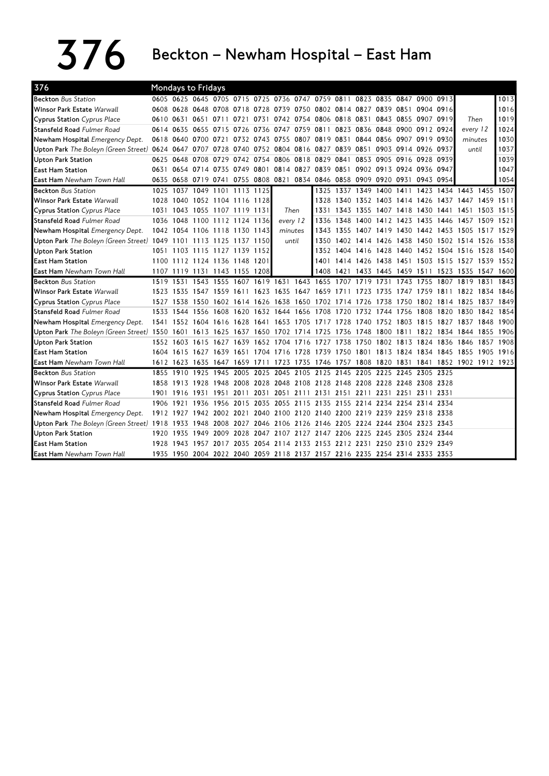$376$  Beckton – Newham Hospital – East Ham

| 376                                                      | Mondays to Fridays |           |                     |                               |                |           |                                                      |                                                                            |                                                                                           |                     |                |      |                                                   |                |                          |           |           |       |
|----------------------------------------------------------|--------------------|-----------|---------------------|-------------------------------|----------------|-----------|------------------------------------------------------|----------------------------------------------------------------------------|-------------------------------------------------------------------------------------------|---------------------|----------------|------|---------------------------------------------------|----------------|--------------------------|-----------|-----------|-------|
| <b>Beckton Bus Station</b>                               |                    |           |                     |                               |                |           |                                                      |                                                                            | 0605 0625 0645 0705 0715 0725 0736 0747 0759 0811 0823 0835 0847 0900 0913                |                     |                |      |                                                   |                |                          |           |           | 1013  |
| Winsor Park Estate Warwall                               |                    |           |                     |                               |                |           |                                                      | 0608 0628 0648 0708 0718 0728 0739 0750 0802 0814 0827 0839 0851 0904 0916 |                                                                                           |                     |                |      | 1016                                              |                |                          |           |           |       |
| <b>Cyprus Station</b> Cyprus Place                       | 0610 0631          |           | 0651                | 0711                          | 0721           |           | 0731 0742 0754 0806 0818 0831<br>0843 0855 0907 0919 |                                                                            |                                                                                           | Then                |                | 1019 |                                                   |                |                          |           |           |       |
| <b>Stansfeld Road</b> Fulmer Road                        |                    | 0614 0635 | 0655 0715           |                               | 0726           |           | 0736 0747 0759 0811                                  |                                                                            |                                                                                           |                     | 0823 0836 0848 |      | 0900 0912 0924                                    |                |                          | every 12  |           | 1024  |
| Newham Hospital Emergency Dept.                          |                    |           | 0618 0640 0700 0721 |                               |                |           |                                                      |                                                                            | 0732 0743 0755 0807 0819 0831 0844 0856                                                   |                     |                |      | 0907 0919 0930                                    |                |                          | minutes   |           | 1030  |
| Upton Park The Boleyn (Green Street) 0624 0647 0707 0728 |                    |           |                     |                               | 0740           |           |                                                      | 0752 0804 0816 0827 0839 0851                                              |                                                                                           |                     |                |      | 0903 0914 0926 0937                               |                |                          | until     |           | 1037  |
| Upton Park Station                                       |                    | 0625 0648 | 0708 0729           |                               |                | 0742 0754 | 0806 0818 0829 0841                                  |                                                                            |                                                                                           |                     | 0853 0905      |      |                                                   | 0916 0928 0939 |                          |           |           | 1039  |
| <b>East Ham Station</b>                                  | 0631               |           |                     |                               |                |           |                                                      | 0654 0714 0735 0749 0801 0814 0827 0839 0851<br>0902 0913 0924 0936 0947   |                                                                                           |                     |                |      |                                                   |                | 1047                     |           |           |       |
| <b>East Ham</b> Newham Town Hall                         |                    |           |                     |                               |                |           |                                                      |                                                                            | 0635 0658 0719 0741 0755 0808 0821 0834 0846 0858 0909 0920 0931                          |                     |                |      |                                                   | 0943 0954      |                          |           |           | 1054  |
| <b>Beckton</b> Bus Station                               | 1025               |           |                     | 1037 1049 1101 1113 1125      |                |           |                                                      |                                                                            |                                                                                           |                     |                |      | 1325 1337 1349 1400 1411 1423 1434 1443 1455 1507 |                |                          |           |           |       |
| Winsor Park Estate <i>Warwall</i>                        |                    |           |                     | 1028 1040 1052 1104 1116 1128 |                |           |                                                      |                                                                            | 1328                                                                                      | 1340 1352 1403      |                |      | 1414 1426 1437 1447 1459                          |                |                          |           |           | 1511  |
| <b>Cyprus Station</b> Cyprus Place                       |                    |           |                     | 1031 1043 1055 1107 1119 1131 |                |           | Then                                                 |                                                                            | 1331                                                                                      |                     | 1343 1355      | 1407 |                                                   |                | 1418 1430 1441 1451 1503 |           |           | 1515  |
| <b>Stansfeld Road</b> Fulmer Road                        |                    | 1036 1048 |                     | 1100 1112 1124 1136           |                |           | every 12                                             |                                                                            | 1336                                                                                      | 1348                | 1400           | 1412 | 1423                                              | 1435 1446      |                          | 1457 1509 |           | 1521  |
| Newham Hospital Emergency Dept.                          |                    |           |                     | 1042 1054 1106 1118 1130 1143 |                |           | minutes                                              |                                                                            | 1343                                                                                      | 1355                | 1407 1419      |      |                                                   |                | 1430 1442 1453 1505 1517 |           |           | 1529  |
| Upton Park The Boleyn (Green Street) 1049 1101           |                    |           |                     | 1113 1125 1137 1150           |                |           | until                                                |                                                                            | 1350                                                                                      |                     | 1402 1414 1426 |      |                                                   |                | 1438 1450 1502 1514 1526 |           |           | 1538  |
| <b>Upton Park Station</b>                                | 1051               |           |                     | 1103 1115 1127 1139 1152      |                |           |                                                      |                                                                            | 1352                                                                                      | 1404                | 1416           | 1428 | 1440                                              |                | 1452 1504 1516 1528      |           |           | 1540  |
| <b>East Ham Station</b>                                  |                    |           |                     | 1100 1112 1124 1136 1148 1201 |                |           |                                                      |                                                                            | 1401                                                                                      | 1414 1426 1438      |                |      | 1451 1503 1515 1527 1539                          |                |                          |           |           | 1552  |
| <b>East Ham</b> Newham Town Hall                         |                    |           |                     | 1107 1119 1131 1143 1155 1208 |                |           |                                                      |                                                                            | 1408                                                                                      | 1421                | 1433 1445      |      | 1459 1511 1523 1535 1547 1600                     |                |                          |           |           |       |
| <b>Beckton</b> Bus Station                               | 1519               | 1531      |                     | 1543 1555                     | 1607 1619 1631 |           |                                                      | 1643 1655                                                                  |                                                                                           | 1707                | 1719           | 1731 | 1743                                              |                | 1755 1807 1819           |           | 1831      | 1843  |
| Winsor Park Estate Warwall                               |                    | 1523 1535 |                     |                               |                |           |                                                      |                                                                            | 1547 1559 1611 1623 1635 1647 1659 1711                                                   |                     | 1723           | 1735 |                                                   |                | 1747 1759 1811 1822      |           | 1834      | -1846 |
| <b>Cyprus Station</b> Cyprus Place                       |                    | 1527 1538 |                     | 1550 1602 1614 1626 1638 1650 |                |           |                                                      |                                                                            | 1702 1714 1726                                                                            |                     |                | 1738 | 1750 1802 1814 1825                               |                |                          |           | 1837 1849 |       |
| <b>Stansfeld Road Fulmer Road</b>                        |                    | 1533 1544 | 1556 1608           |                               | 1620           | 1632 1644 |                                                      | 1656                                                                       | 1708                                                                                      |                     | 1720 1732 1744 |      | 1756                                              | 1808           | 1820                     | 1830      | 1842      | 1854  |
| Newham Hospital Emergency Dept.                          |                    |           | 1541 1552 1604 1616 |                               |                |           |                                                      |                                                                            | 1628 1641 1653 1705 1717 1728 1740 1752 1803 1815 1827 1837                               |                     |                |      |                                                   |                |                          |           | 1848      | 1900l |
| Upton Park The Boleyn (Green Street) 1550 1601           |                    |           |                     | 1613 1625                     |                |           |                                                      |                                                                            | 1637 1650 1702 1714 1725 1736 1748 1800 1811 1822 1834 1844 1855 1906                     |                     |                |      |                                                   |                |                          |           |           |       |
| <b>Upton Park Station</b>                                |                    | 1552 1603 | 1615 1627           |                               | 1639           |           |                                                      |                                                                            | 1652 1704 1716 1727 1738 1750 1802 1813 1824 1836                                         |                     |                |      |                                                   |                |                          | 1846      | 1857      | 1908  |
| <b>East Ham Station</b>                                  |                    |           | 1604 1615 1627 1639 |                               | 1651           |           |                                                      |                                                                            | 1704 1716 1728 1739 1750 1801 1813 1824 1834 1845 1855                                    |                     |                |      |                                                   |                |                          |           | 1905 1916 |       |
| <b>East Ham</b> Newham Town Hall                         |                    |           |                     |                               |                |           |                                                      |                                                                            | 1612 1623 1635 1647 1659 1711 1723 1735 1746 1757 1808 1820 1831 1841 1852 1902 1912 1923 |                     |                |      |                                                   |                |                          |           |           |       |
| <b>Beckton Bus Station</b>                               | 1855               | 1910      | 1925                | 1945                          | 2005           | 2025      | 2045 2105                                            |                                                                            | 2125 2145 2205                                                                            |                     |                | 2225 | 2245                                              | 2305 2325      |                          |           |           |       |
| Winsor Park Estate Warwall                               |                    | 1858 1913 | 1928 1948           |                               | 2008           |           |                                                      |                                                                            | 2028 2048 2108 2128 2148 2208 2228 2248 2308 2328                                         |                     |                |      |                                                   |                |                          |           |           |       |
| <b>Cyprus Station</b> Cyprus Place                       | 1901               | 1916      | 1931                | 1951                          | 2011           | 2031      |                                                      | 2051 2111                                                                  |                                                                                           | 2131 2151 2211 2231 |                |      | 2251                                              | 2311 2331      |                          |           |           |       |
| <b>Stansfeld Road Fulmer Road</b>                        | 1906               | 1921      |                     | 1936 1956                     | 2015           |           |                                                      |                                                                            | 2035 2055 2115 2135 2155 2214 2234 2254 2314 2334                                         |                     |                |      |                                                   |                |                          |           |           |       |
| Newham Hospital Emergency Dept.                          |                    |           |                     | 1912 1927 1942 2002 2021      |                |           |                                                      |                                                                            | 2040 2100 2120 2140 2200 2219 2239 2259 2318 2338                                         |                     |                |      |                                                   |                |                          |           |           |       |
| Upton Park The Boleyn (Green Street) 1918 1933           |                    |           |                     |                               |                |           |                                                      |                                                                            | 1948 2008 2027 2046 2106 2126 2146 2205 2224 2244 2304 2323 2343                          |                     |                |      |                                                   |                |                          |           |           |       |
| <b>Upton Park Station</b>                                | 1920 1935          |           | 1949                | 2009                          |                |           |                                                      |                                                                            | 2028 2047 2107 2127 2147 2206 2225 2245                                                   |                     |                |      | 2305 2324 2344                                    |                |                          |           |           |       |
| <b>East Ham Station</b>                                  | 1928               |           |                     | 1943 1957 2017                | 2035           |           |                                                      |                                                                            | 2054 2114 2133 2153 2212 2231 2250 2310 2329 2349                                         |                     |                |      |                                                   |                |                          |           |           |       |
| <b>East Ham</b> Newham Town Hall                         |                    |           |                     |                               |                |           |                                                      |                                                                            | 1935 1950 2004 2022 2040 2059 2118 2137 2157 2216 2235 2254 2314 2333 2353                |                     |                |      |                                                   |                |                          |           |           |       |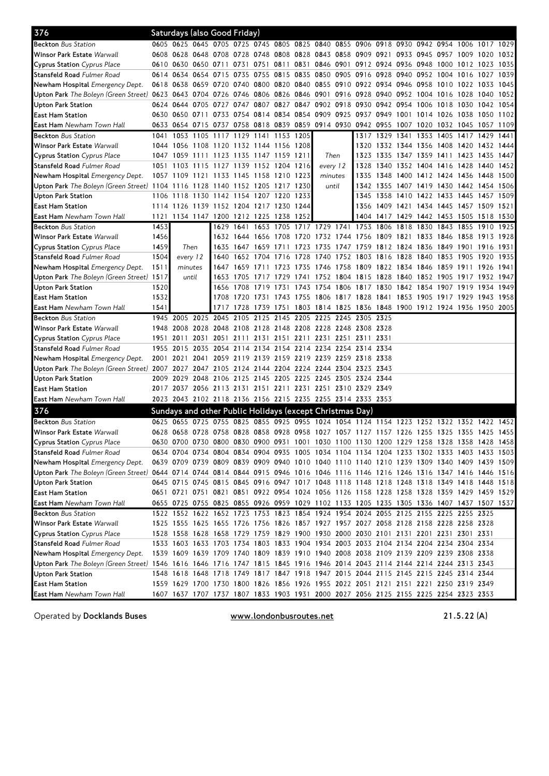| 376                                                                                                                            |              |                   | Saturdays (also Good Friday)  |                |                |      |                                         |           |                                                                                           |           |                     |                |                |                                         |           |                     |           |      |
|--------------------------------------------------------------------------------------------------------------------------------|--------------|-------------------|-------------------------------|----------------|----------------|------|-----------------------------------------|-----------|-------------------------------------------------------------------------------------------|-----------|---------------------|----------------|----------------|-----------------------------------------|-----------|---------------------|-----------|------|
| <b>Beckton</b> Bus Station                                                                                                     |              |                   |                               |                |                |      |                                         |           | 0605 0625 0645 0705 0725 0745 0805 0825 0840 0855 0906 0918 0930 0942 0954 1006 1017 1029 |           |                     |                |                |                                         |           |                     |           |      |
| Winsor Park Estate <i>Warwall</i>                                                                                              |              | 0608 0628         |                               |                |                |      |                                         |           | 0648 0708 0728 0748 0808 0828 0843 0858 0909 0921                                         |           |                     |                |                | 0933 0945 0957 1009 1020                |           |                     |           | 1032 |
| Cyprus Station Cyprus Place                                                                                                    |              |                   | 0610 0630 0650 0711           |                | 0731           | 0751 |                                         |           | 0811 0831 0846 0901 0912 0924 0936 0948                                                   |           |                     |                |                |                                         |           | 1000 1012 1023      |           | 1035 |
| <b>Stansfeld Road</b> Fulmer Road                                                                                              |              | 0614 0634         | 0654 0715                     |                | 0735 0755      |      |                                         |           | 0815 0835 0850 0905                                                                       |           | 0916                | 0928 0940      |                | 0952 1004 1016                          |           |                     | 1027      | 1039 |
| Newham Hospital <i>Emergency Dept.</i>                                                                                         |              | 0618 0638         | 0659 0720                     |                |                |      |                                         |           | 0740 0800 0820 0840 0855 0910 0922 0934 0946 0958                                         |           |                     |                |                |                                         |           | 1010 1022 1033      |           | 1045 |
| Upton Park The Boleyn (Green Street) 0623 0643 0704 0726 0746 0806 0826 0846 0901 0916 0928 0940 0952 1004 1016 1028 1040 1052 |              |                   |                               |                |                |      |                                         |           |                                                                                           |           |                     |                |                |                                         |           |                     |           |      |
| Upton Park Station                                                                                                             |              | 0624 0644         | 0705 0727                     |                |                |      |                                         |           | 0747 0807 0827 0847 0902 0918 0930 0942 0954 1006 1018 1030 1042 1054                     |           |                     |                |                |                                         |           |                     |           |      |
| East Ham Station                                                                                                               |              | 0630 0650 0711    |                               | 0733           | 0754           | 0814 | 0834                                    |           | 0854 0909 0925 0937 0949                                                                  |           |                     |                | 1001           | 1014                                    | 1026 1038 |                     | 1050      | 1102 |
| <b>East Ham</b> Newham Town Hall                                                                                               |              |                   | 0633 0654 0715 0737           |                |                |      |                                         |           | 0758 0818 0839 0859 0914 0930 0942 0955 1007                                              |           |                     |                |                | 1020                                    |           | 1032 1045 1057      |           | 1109 |
| <b>Beckton</b> Bus Station                                                                                                     | 1041         | 1053              | 1105                          |                |                |      | 1117 1129 1141 1153 1205                |           |                                                                                           |           |                     | 1317 1329 1341 |                | 1353                                    | 1405 1417 |                     | 1429      | 1441 |
| Winsor Park Estate <i>Warwall</i>                                                                                              |              | 1044 1056         |                               |                |                |      | 1108 1120 1132 1144 1156 1208           |           |                                                                                           |           | 1320                |                |                | 1332 1344 1356 1408 1420                |           |                     | 1432 1444 |      |
| Cyprus Station Cyprus Place                                                                                                    |              | 1047 1059 1111    |                               |                |                |      | 1123 1135 1147 1159 1211                |           | Then                                                                                      |           | 1323                |                |                | 1335 1347 1359 1411 1423 1435           |           |                     |           | 1447 |
| <b>Stansfeld Road</b> Fulmer Road                                                                                              |              |                   |                               |                |                |      | 1051 1103 1115 1127 1139 1152 1204 1216 |           | every 12                                                                                  |           | 1328                |                |                | 1340 1352 1404 1416 1428                |           |                     | 1440      | 1452 |
| Newham Hospital Emergency Dept.                                                                                                |              | 1057 1109         | 1121                          |                | 1133 1145 1158 |      | 1210 1223                               |           | minutes                                                                                   |           | 1335                | 1348           |                | 1400 1412 1424 1436 1448 1500           |           |                     |           |      |
| U <b>pton Park</b> The Boleyn (Green Street) 1104 1116                                                                         |              |                   | 1128                          | 1140 1152 1205 |                |      | 1217 1230                               |           | until                                                                                     |           |                     | 1342 1355      |                | 1407 1419 1430 1442 1454 1506           |           |                     |           |      |
| Upton Park Station                                                                                                             |              | 1106 1118         |                               |                |                |      | 1130 1142 1154 1207 1220 1233           |           |                                                                                           |           | 1345                |                |                | 1358 1410 1422 1433 1445                |           |                     | 1457 1509 |      |
| East Ham Station                                                                                                               |              | 1114 1126         | 1139 1152 1204 1217 1230      |                |                |      |                                         | 1244      |                                                                                           |           |                     | 1356 1409 1421 |                | 1434 1445 1457 1509 1521                |           |                     |           |      |
| <b>East Ham</b> Newham Town Hall                                                                                               | 1121         |                   | 1134 1147 1200 1212 1225 1238 |                |                |      |                                         | 1252      |                                                                                           |           |                     |                |                | 1404 1417 1429 1442 1453 1505 1518 1530 |           |                     |           |      |
| <b>Beckton</b> Bus Station                                                                                                     | 1453         |                   |                               | 1629           | 1641           | 1653 | 1705                                    |           | 1717 1729 1741 1753 1806                                                                  |           |                     |                | 1818           | 1830                                    | 1843 1855 |                     | 1910      | 1925 |
| Winsor Park Estate <i>Warwall</i>                                                                                              | 1456         |                   |                               | 1632           | 1644 1656      |      | 1708                                    | 1720 1732 |                                                                                           |           | 1744 1756 1809 1821 |                |                | 1833                                    |           | 1846 1858 1913 1928 |           |      |
| Cyprus Station <i>Cyprus Place</i>                                                                                             | 1459         |                   | Then                          | 1635           | 1647           | 1659 | 1711                                    | 1723 1735 |                                                                                           | 1747 1759 |                     |                | 1812 1824 1836 |                                         | 1849 1901 |                     | 1916      | 1931 |
| <b>Stansfeld Road</b> Fulmer Road                                                                                              | 1504         |                   | every 12                      | 1640           | 1652 1704      |      | 1716                                    | 1728 1740 |                                                                                           |           | 1752 1803 1816 1828 |                |                | 1840                                    | 1853 1905 |                     | 1920      | 1935 |
| Newham Hospital <i>Emergency Dept.</i>                                                                                         | 1511         | minutes           |                               | 1647           | 1659           | 1711 | 1723                                    | 1735 1746 |                                                                                           |           | 1758 1809 1822 1834 |                |                | 1846                                    |           | 1859 1911 1926      |           | 1941 |
| <b>Upton Park</b> The Boleyn (Green Street) 1517                                                                               |              | until             |                               | 1653           | 1705           | 1717 | 1729                                    |           | 1741 1752 1804 1815 1828 1840 1852 1905 1917 1932 1947                                    |           |                     |                |                |                                         |           |                     |           |      |
| Upton Park Station                                                                                                             | 1520         |                   |                               |                | 1656 1708      | 1719 | 1731                                    |           | 1743 1754 1806 1817 1830 1842 1854                                                        |           |                     |                |                |                                         |           | 1907 1919 1934 1949 |           |      |
| East Ham Station                                                                                                               | 1532         |                   |                               | 1708           | 1720           | 1731 | 1743                                    |           | 1755 1806 1817 1828 1841 1853 1905 1917 1929 1943 1958                                    |           |                     |                |                |                                         |           |                     |           |      |
| <b>East Ham</b> Newham Town Hall                                                                                               | 1541         |                   |                               | 1717           | 1728           | 1739 | 1751                                    |           | 1803 1814 1825 1836 1848 1900 1912 1924 1936 1950 2005                                    |           |                     |                |                |                                         |           |                     |           |      |
| <b>Beckton</b> Bus Station                                                                                                     |              | 1945 2005         | 2025                          | 2045           | 2105           | 2125 | 2145                                    | 2205 2225 |                                                                                           | 2245 2305 |                     | 2325           |                |                                         |           |                     |           |      |
|                                                                                                                                |              | 2008              | 2028                          |                |                |      |                                         |           | 2108 2128 2148 2208 2228 2248 2308 2328                                                   |           |                     |                |                |                                         |           |                     |           |      |
| Winsor Park Estate <i>Warwall</i>                                                                                              | 1948<br>1951 |                   | 2031                          | 2048<br>2051   |                |      |                                         |           | 2151 2211 2231 2251 2311 2331                                                             |           |                     |                |                |                                         |           |                     |           |      |
| Cyprus Station Cyprus Place                                                                                                    |              | 2011<br>1955 2015 | 2035                          |                | 2111 2131      |      |                                         |           |                                                                                           |           |                     |                |                |                                         |           |                     |           |      |
| <b>Stansfeld Road</b> Fulmer Road                                                                                              |              |                   |                               |                |                |      |                                         |           | 2054 2114 2134 2154 2214 2234 2254 2314 2334                                              |           |                     |                |                |                                         |           |                     |           |      |
| Newham Hospital <i>Emergency Dept.</i>                                                                                         | 2001         | 2021              | 2041                          |                |                |      |                                         |           | 2059 2119 2139 2159 2219 2239 2259 2318 2338                                              |           |                     |                |                |                                         |           |                     |           |      |
| <b>Upton Park</b> The Boleyn (Green Street) 2007 2027                                                                          |              | 2009 2029         | 2048                          |                | 2106 2125 2145 |      | 2205 2225 2245                          |           | 2047 2105 2124 2144 2204 2224 2244 2304 2323 2343                                         |           | 2305 2324 2344      |                |                |                                         |           |                     |           |      |
| Upton Park Station                                                                                                             |              |                   |                               |                |                |      |                                         |           |                                                                                           |           |                     |                |                |                                         |           |                     |           |      |
| East Ham Station                                                                                                               |              |                   |                               |                |                |      |                                         |           | 2017 2037 2056 2113 2131 2151 2211 2231 2251 2310 2329 2349                               |           |                     |                |                |                                         |           |                     |           |      |
| <b>East Ham</b> Newham Town Hall                                                                                               |              |                   |                               |                |                |      |                                         |           | 2023 2043 2102 2118 2136 2156 2215 2235 2255 2314 2333 2353                               |           |                     |                |                |                                         |           |                     |           |      |
| 376                                                                                                                            |              |                   |                               |                |                |      |                                         |           | Sundays and other Public Holidays (except Christmas Day)                                  |           |                     |                |                |                                         |           |                     |           |      |
| <b>Beckton</b> Bus Station                                                                                                     |              |                   |                               |                |                |      |                                         |           | 0625 0655 0725 0755 0825 0855 0925 0955 1024 1054 1124 1154 1223 1252                     |           |                     |                |                |                                         |           | 1322 1352 1422      |           | 1452 |
| Winsor Park Estate <i>Warwall</i>                                                                                              |              |                   |                               |                |                |      |                                         |           | 0628 0658 0728 0758 0828 0858 0928 0958 1027 1057 1127 1157 1226 1255 1325 1355 1425 1455 |           |                     |                |                |                                         |           |                     |           |      |
| Cyprus Station Cyprus Place                                                                                                    |              |                   |                               |                |                |      |                                         |           | 0630 0700 0730 0800 0830 0900 0931 1001 1030 1100 1130 1200 1229 1258 1328 1358 1428 1458 |           |                     |                |                |                                         |           |                     |           |      |
| <b>Stansfeld Road</b> Fulmer Road                                                                                              |              |                   |                               |                |                |      |                                         |           | 0634 0704 0734 0804 0834 0904 0935 1005 1034 1104 1134 1204 1233 1302 1333 1403 1433 1503 |           |                     |                |                |                                         |           |                     |           |      |
| Newham Hospital <i>Emergency Dept.</i>                                                                                         |              |                   |                               |                |                |      |                                         |           | 0639 0709 0739 0809 0839 0909 0940 1010 1040 1110 1140 1210 1239 1309 1340 1409 1439 1509 |           |                     |                |                |                                         |           |                     |           |      |
| Upton Park The Boleyn (Green Street) 0644 0714 0744 0814 0844 0915 0946 1016 1046 1116 1146 1216 1246 1316 1347 1416 1446 1516 |              |                   |                               |                |                |      |                                         |           |                                                                                           |           |                     |                |                |                                         |           |                     |           |      |
| Upton Park Station                                                                                                             |              |                   |                               |                |                |      |                                         |           | 0645 0715 0745 0815 0845 0916 0947 1017 1048 1118 1148 1218 1248 1318 1349 1418 1448 1518 |           |                     |                |                |                                         |           |                     |           |      |
| East Ham Station                                                                                                               |              |                   |                               |                |                |      |                                         |           | 0651 0721 0751 0821 0851 0922 0954 1024 1056 1126 1158 1228 1258 1328 1359 1429 1459 1529 |           |                     |                |                |                                         |           |                     |           |      |
| <b>East Ham</b> Newham Town Hall                                                                                               |              |                   |                               |                |                |      |                                         |           | 0655 0725 0755 0825 0855 0926 0959 1029 1102 1133 1205 1235 1305 1336 1407 1437 1507 1537 |           |                     |                |                |                                         |           |                     |           |      |
| <b>Beckton</b> Bus Station                                                                                                     |              |                   |                               |                |                |      |                                         |           | 1522 1552 1622 1652 1723 1753 1823 1854 1924 1954 2024 2055 2125 2155 2225 2255 2325      |           |                     |                |                |                                         |           |                     |           |      |
| Winsor Park Estate Warwall                                                                                                     |              |                   |                               |                |                |      |                                         |           | 1525 1555 1625 1655 1726 1756 1826 1857 1927 1957 2027 2058 2128 2158 2228 2258 2328      |           |                     |                |                |                                         |           |                     |           |      |
| Cyprus Station <i>Cyprus Place</i>                                                                                             |              |                   |                               |                |                |      |                                         |           | 1528 1558 1628 1658 1729 1759 1829 1900 1930 2000 2030 2101 2131 2201 2231 2301 2331      |           |                     |                |                |                                         |           |                     |           |      |
| <b>Stansfeld Road</b> Fulmer Road                                                                                              |              |                   |                               |                |                |      |                                         |           | 1533 1603 1633 1703 1734 1803 1833 1904 1934 2003 2033 2104 2134 2204 2234 2304 2334      |           |                     |                |                |                                         |           |                     |           |      |
| Newham Hospital Emergency Dept.                                                                                                |              |                   |                               |                |                |      |                                         |           | 1539 1609 1639 1709 1740 1809 1839 1910 1940 2008 2038 2109 2139 2209 2239 2308 2338      |           |                     |                |                |                                         |           |                     |           |      |
| Upton Park The Boleyn (Green Street) 1546 1616 1646 1716 1747 1815 1845 1916 1946 2014 2043 2114 2144 2214 2244 2313 2343      |              |                   |                               |                |                |      |                                         |           |                                                                                           |           |                     |                |                |                                         |           |                     |           |      |
| Upton Park Station                                                                                                             |              |                   |                               |                |                |      |                                         |           | 1548 1618 1648 1718 1749 1817 1847 1918 1947 2015 2044 2115 2145 2215 2245 2314 2344      |           |                     |                |                |                                         |           |                     |           |      |
| East Ham Station                                                                                                               |              |                   |                               |                |                |      |                                         |           | 1559 1629 1700 1730 1800 1826 1856 1926 1955 2022 2051 2121 2151 2221 2250 2319 2349      |           |                     |                |                |                                         |           |                     |           |      |
| <b>East Ham</b> Newham Town Hall                                                                                               |              |                   |                               |                |                |      |                                         |           | 1607 1637 1707 1737 1807 1833 1903 1931 2000 2027 2056 2125 2155 2225 2254 2323 2353      |           |                     |                |                |                                         |           |                     |           |      |

Operated by Docklands Buses **www.londonbusroutes.net** 21.5.22 (A)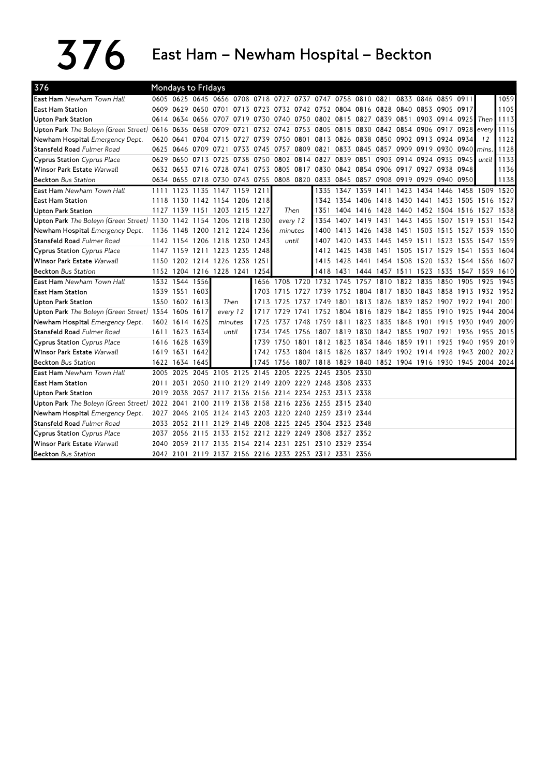$376$  East Ham – Newham Hospital – Beckton

| 376                                                             |           |                | <b>Mondays to Fridays</b> |                                                                                 |      |      |                     |           |                                                                  |                                              |                |      |           |           |                                         |           |      |
|-----------------------------------------------------------------|-----------|----------------|---------------------------|---------------------------------------------------------------------------------|------|------|---------------------|-----------|------------------------------------------------------------------|----------------------------------------------|----------------|------|-----------|-----------|-----------------------------------------|-----------|------|
| <b>East Ham</b> Newham Town Hall                                |           |                |                           | 0605 0625 0645 0656 0708 0718 0727 0737 0747 0758 0810 0821 0833 0846 0859 0911 |      |      |                     |           |                                                                  |                                              |                |      |           |           |                                         |           | 1059 |
| <b>East Ham Station</b>                                         |           |                |                           | 0609 0629 0650 0701 0713 0723 0732 0742 0752 0804 0816 0828 0840 0853 0905 0917 |      |      |                     |           |                                                                  |                                              |                |      |           |           |                                         |           | 1105 |
| <b>Upton Park Station</b>                                       |           |                |                           | 0614 0634 0656 0707 0719                                                        |      |      |                     |           | 0730 0740 0750 0802 0815 0827 0839 0851                          |                                              |                |      |           |           | 0903 0914 0925 Then                     |           | 1113 |
| Upton Park The Boleyn (Green Street)                            | 0616      | 0636           | 0658 0709                 |                                                                                 | 0721 |      |                     |           | 0732 0742 0753 0805 0818 0830 0842 0854                          |                                              |                |      |           | 0906      | 0917 0928                               | every     | 1116 |
| Newham Hospital Emergency Dept.                                 | 0620 0641 |                |                           | 0704 0715 0727                                                                  |      |      |                     |           | 0739 0750 0801 0813 0826 0838 0850 0902 0913 0924 0934           |                                              |                |      |           |           |                                         | 12        | 1122 |
| <b>Stansfeld Road Fulmer Road</b>                               |           |                | 0625 0646 0709 0721       |                                                                                 | 0733 |      | 0745 0757 0809 0821 |           |                                                                  | 0833 0845 0857 0909 0919 0930 0940           |                |      |           |           |                                         | mins.     | 1128 |
| <b>Cyprus Station Cyprus Place</b>                              |           |                |                           | 0629 0650 0713 0725 0738                                                        |      |      | 0750 0802 0814 0827 |           |                                                                  | 0839 0851                                    |                | 0903 |           |           | 0914 0924 0935 0945                     | until     | 1133 |
| <b>Winsor Park Estate Warwall</b>                               |           |                |                           | 0632 0653 0716 0728 0741                                                        |      |      |                     |           | 0753 0805 0817 0830 0842 0854 0906 0917 0927 0938 0948           |                                              |                |      |           |           |                                         |           | 1136 |
| <b>Beckton</b> Bus Station                                      |           |                |                           | 0634 0655 0718 0730 0743 0755 0808 0820 0833 0845 0857 0908 0919 0929           |      |      |                     |           |                                                                  |                                              |                |      |           |           | 0940 0950                               |           | 1138 |
| <b>East Ham</b> Newham Town Hall                                | 1111      | 1123           |                           | 1135 1147 1159                                                                  |      | 1211 |                     |           | 1335                                                             | 1347                                         | 1359 1411      |      | 1423      | 1434      | 1446 1458 1509 1520                     |           |      |
| <b>East Ham Station</b>                                         |           |                |                           | 1118 1130 1142 1154 1206 1218                                                   |      |      |                     |           | 1342                                                             | 1354 1406 1418                               |                |      |           |           | 1430 1441 1453 1505                     | 1516 1527 |      |
| <b>Upton Park Station</b>                                       |           |                |                           | 1127 1139 1151 1203 1215 1227                                                   |      |      | Then                |           | 1351                                                             |                                              | 1404 1416 1428 |      |           |           | 1440 1452 1504 1516                     | 1527 1538 |      |
| Upton Park The Boleyn (Green Street) $1130$ 1142 1154 1206 1218 |           |                |                           |                                                                                 |      | 1230 | every 12            |           | 1354                                                             |                                              | 1407 1419 1431 |      |           | 1443 1455 | 1507 1519 1531                          |           | 1542 |
| Newham Hospital Emergency Dept.                                 |           |                |                           | 1136 1148 1200 1212 1224 1236                                                   |      |      | minutes             |           | 1400                                                             | 1413 1426 1438                               |                |      |           |           | 1451 1503 1515 1527 1539 1550           |           |      |
| <b>Stansfeld Road Fulmer Road</b>                               |           |                |                           | 1142 1154 1206 1218 1230                                                        |      | 1243 | until               |           | 1407                                                             | 1420 1433 1445                               |                |      | 1459 1511 |           | 1523 1535                               | 1547 1559 |      |
| <b>Cyprus Station</b> Cyprus Place                              |           |                |                           | 1147 1159 1211 1223 1235                                                        |      | 1248 |                     |           |                                                                  | 1412 1425 1438 1451                          |                |      |           |           | 1505 1517 1529 1541                     | 1553 1604 |      |
| <b>Winsor Park Estate Warwall</b>                               |           |                |                           | 1150 1202 1214 1226 1238                                                        |      | 1251 |                     |           | 1415                                                             | 1428 1441 1454                               |                |      |           |           | 1508 1520 1532 1544 1556 1607           |           |      |
| <b>Beckton</b> Bus Station                                      |           |                |                           | 1152 1204 1216 1228 1241 1254                                                   |      |      |                     |           |                                                                  | 1418 1431                                    |                |      |           |           | 1444 1457 1511 1523 1535 1547 1559 1610 |           |      |
| <b>East Ham</b> Newham Town Hall                                |           |                | 1532 1544 1556            |                                                                                 |      |      |                     |           | 1656 1708 1720 1732 1745 1757 1810 1822 1835                     |                                              |                |      |           |           | 1850 1905                               | 1925      | 1945 |
| <b>East Ham Station</b>                                         |           | 1539 1551 1603 |                           |                                                                                 |      |      | 1703 1715 1727 1739 |           |                                                                  | 1752 1804 1817 1830 1843 1858 1913 1932 1952 |                |      |           |           |                                         |           |      |
| Upton Park Station                                              |           | 1550 1602 1613 |                           | Then                                                                            |      | 1713 | 1725                | 1737 1749 |                                                                  | 1801                                         |                |      |           |           | 1813 1826 1839 1852 1907 1922 1941      |           | 2001 |
| Upton Park The Boleyn (Green Street) 1554 1606 1617             |           |                |                           | every 12                                                                        |      | 1717 | 1729                | 1741      | 1752                                                             | 1804 1816 1829                               |                |      | 1842 1855 |           | 1910 1925                               | 1944      | 2004 |
| Newham Hospital Emergency Dept.                                 |           | 1602 1614 1625 |                           | minutes                                                                         |      | 1725 | 1737                | 1748 1759 |                                                                  | 1811 1823 1835                               |                |      | 1848 1901 |           | 1915 1930                               | 1949 2009 |      |
| <b>Stansfeld Road Fulmer Road</b>                               |           | 1611 1623 1634 |                           | until                                                                           |      |      | 1734 1745           |           | 1756 1807 1819 1830 1842 1855 1907                               |                                              |                |      |           |           | 1921 1936                               | 1955 2015 |      |
| <b>Cyprus Station</b> Cyprus Place                              |           | 1616 1628 1639 |                           |                                                                                 |      |      | 1739 1750 1801      |           |                                                                  | 1812 1823 1834 1846                          |                |      | 1859 1911 |           | 1925 1940                               | 1959      | 2019 |
| <b>Winsor Park Estate Warwall</b>                               |           | 1619 1631 1642 |                           |                                                                                 |      |      |                     |           | 1742 1753 1804 1815 1826 1837 1849 1902 1914 1928 1943 2002 2022 |                                              |                |      |           |           |                                         |           |      |
| <b>Beckton</b> Bus Station                                      |           | 1622 1634 1645 |                           |                                                                                 |      |      |                     |           | 1745 1756 1807 1818 1829 1840 1852 1904 1916 1930 1945 2004 2024 |                                              |                |      |           |           |                                         |           |      |
| East Ham Newham Town Hall                                       |           | 2005 2025      |                           | 2045 2105 2125                                                                  |      |      | 2145 2205 2225 2245 |           |                                                                  | 2305 2330                                    |                |      |           |           |                                         |           |      |
| <b>East Ham Station</b>                                         | 2011 2031 |                |                           | 2050 2110 2129                                                                  |      |      |                     |           | 2149 2209 2229 2248 2308 2333                                    |                                              |                |      |           |           |                                         |           |      |
| <b>Upton Park Station</b>                                       | 2019      | 2038           | 2057                      | 2117                                                                            | 2136 |      |                     |           | 2156 2214 2234 2253 2313 2338                                    |                                              |                |      |           |           |                                         |           |      |
| Upton Park The Boleyn (Green Street) 2022 2041                  |           |                |                           | 2100 2119                                                                       | 2138 |      |                     |           | 2158 2216 2236 2255 2315 2340                                    |                                              |                |      |           |           |                                         |           |      |
| Newham Hospital Emergency Dept.                                 |           | 2027 2046      |                           | 2105 2124 2143 2203 2220 2240 2259 2319 2344                                    |      |      |                     |           |                                                                  |                                              |                |      |           |           |                                         |           |      |
| <b>Stansfeld Road Fulmer Road</b>                               | 2033      |                | 2052 2111                 | 2129 2148                                                                       |      |      |                     |           | 2208 2225 2245 2304 2323 2348                                    |                                              |                |      |           |           |                                         |           |      |
| <b>Cyprus Station</b> Cyprus Place                              |           | 2037 2056      |                           | 2115 2133 2152 2212 2229 2249 2308 2327 2352                                    |      |      |                     |           |                                                                  |                                              |                |      |           |           |                                         |           |      |
| Winsor Park Estate Warwall                                      | 2040      |                |                           | 2059 2117 2135 2154 2214 2231 2251 2310 2329 2354                               |      |      |                     |           |                                                                  |                                              |                |      |           |           |                                         |           |      |
| <b>Beckton Bus Station</b>                                      |           |                |                           | 2042 2101 2119 2137 2156 2216 2233 2253 2312 2331 2356                          |      |      |                     |           |                                                                  |                                              |                |      |           |           |                                         |           |      |